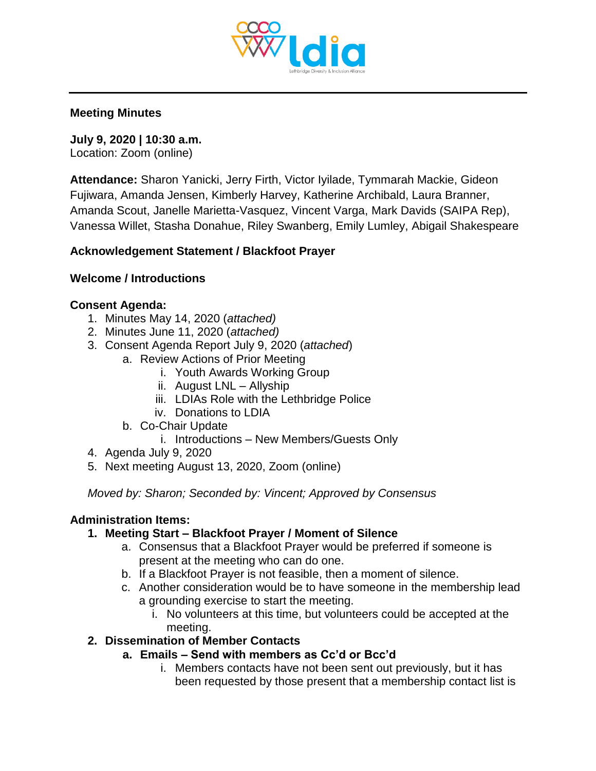

#### **Meeting Minutes**

**July 9, 2020 | 10:30 a.m.** Location: Zoom (online)

**Attendance:** Sharon Yanicki, Jerry Firth, Victor Iyilade, Tymmarah Mackie, Gideon Fujiwara, Amanda Jensen, Kimberly Harvey, Katherine Archibald, Laura Branner, Amanda Scout, Janelle Marietta-Vasquez, Vincent Varga, Mark Davids (SAIPA Rep), Vanessa Willet, Stasha Donahue, Riley Swanberg, Emily Lumley, Abigail Shakespeare

## **Acknowledgement Statement / Blackfoot Prayer**

### **Welcome / Introductions**

## **Consent Agenda:**

- 1. Minutes May 14, 2020 (*attached)*
- 2. Minutes June 11, 2020 (*attached)*
- 3. Consent Agenda Report July 9, 2020 (*attached*)
	- a. Review Actions of Prior Meeting
		- i. Youth Awards Working Group
		- ii. August LNL Allyship
		- iii. LDIAs Role with the Lethbridge Police
		- iv. Donations to LDIA
	- b. Co-Chair Update
		- i. Introductions New Members/Guests Only
- 4. Agenda July 9, 2020
- 5. Next meeting August 13, 2020, Zoom (online)

*Moved by: Sharon; Seconded by: Vincent; Approved by Consensus* 

### **Administration Items:**

### **1. Meeting Start – Blackfoot Prayer / Moment of Silence**

- a. Consensus that a Blackfoot Prayer would be preferred if someone is present at the meeting who can do one.
- b. If a Blackfoot Prayer is not feasible, then a moment of silence.
- c. Another consideration would be to have someone in the membership lead a grounding exercise to start the meeting.
	- i. No volunteers at this time, but volunteers could be accepted at the meeting.

# **2. Dissemination of Member Contacts**

- **a. Emails – Send with members as Cc'd or Bcc'd**
	- i. Members contacts have not been sent out previously, but it has been requested by those present that a membership contact list is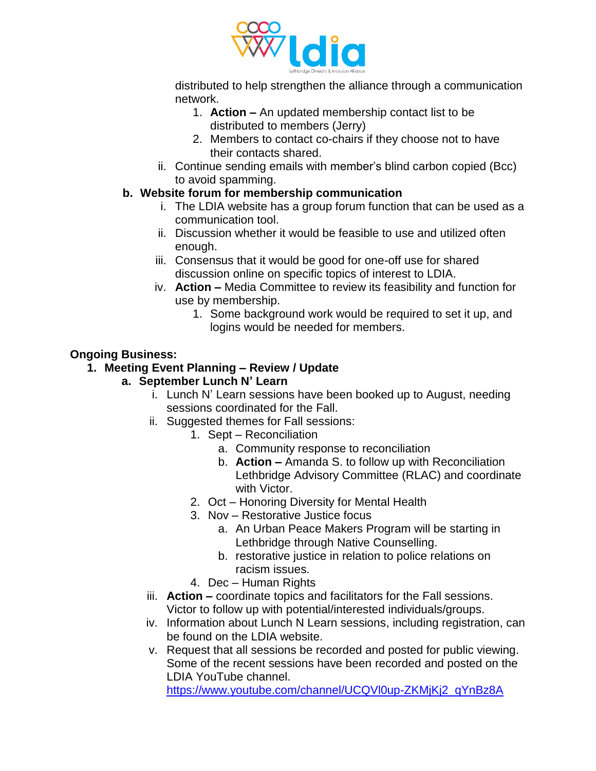

distributed to help strengthen the alliance through a communication network.

- 1. **Action –** An updated membership contact list to be distributed to members (Jerry)
- 2. Members to contact co-chairs if they choose not to have their contacts shared.
- ii. Continue sending emails with member's blind carbon copied (Bcc) to avoid spamming.

## **b. Website forum for membership communication**

- i. The LDIA website has a group forum function that can be used as a communication tool.
- ii. Discussion whether it would be feasible to use and utilized often enough.
- iii. Consensus that it would be good for one-off use for shared discussion online on specific topics of interest to LDIA.
- iv. **Action –** Media Committee to review its feasibility and function for use by membership.
	- 1. Some background work would be required to set it up, and logins would be needed for members.

## **Ongoing Business:**

# **1. Meeting Event Planning – Review / Update**

## **a. September Lunch N' Learn**

- i. Lunch N' Learn sessions have been booked up to August, needing sessions coordinated for the Fall.
- ii. Suggested themes for Fall sessions:
	- 1. Sept Reconciliation
		- a. Community response to reconciliation
		- b. **Action –** Amanda S. to follow up with Reconciliation Lethbridge Advisory Committee (RLAC) and coordinate with Victor.
	- 2. Oct Honoring Diversity for Mental Health
	- 3. Nov Restorative Justice focus
		- a. An Urban Peace Makers Program will be starting in Lethbridge through Native Counselling.
		- b. restorative justice in relation to police relations on racism issues.
	- 4. Dec Human Rights
- iii. **Action –** coordinate topics and facilitators for the Fall sessions. Victor to follow up with potential/interested individuals/groups.
- iv. Information about Lunch N Learn sessions, including registration, can be found on the LDIA website.
- v. Request that all sessions be recorded and posted for public viewing. Some of the recent sessions have been recorded and posted on the LDIA YouTube channel.

[https://www.youtube.com/channel/UCQVl0up-ZKMjKj2\\_qYnBz8A](https://www.youtube.com/channel/UCQVl0up-ZKMjKj2_qYnBz8A)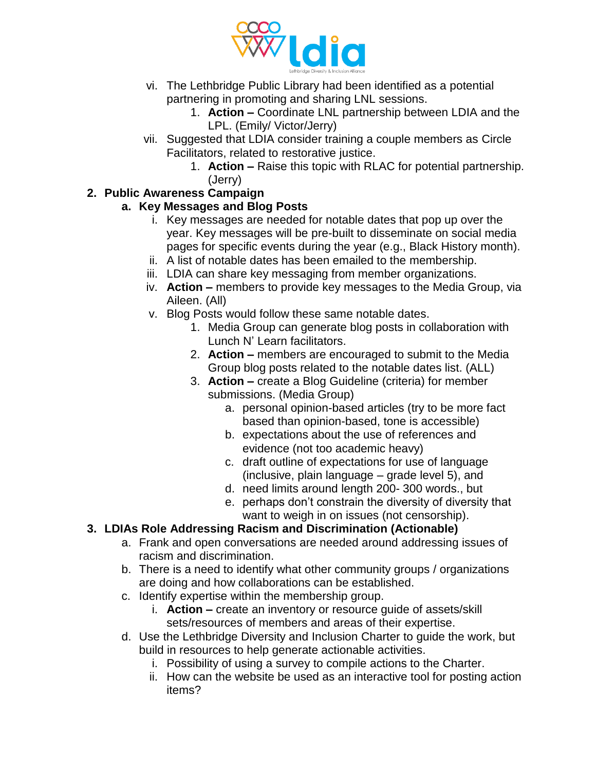

- vi. The Lethbridge Public Library had been identified as a potential partnering in promoting and sharing LNL sessions.
	- 1. **Action –** Coordinate LNL partnership between LDIA and the LPL. (Emily/ Victor/Jerry)
- vii. Suggested that LDIA consider training a couple members as Circle Facilitators, related to restorative justice.
	- 1. **Action –** Raise this topic with RLAC for potential partnership. (Jerry)

# **2. Public Awareness Campaign**

# **a. Key Messages and Blog Posts**

- i. Key messages are needed for notable dates that pop up over the year. Key messages will be pre-built to disseminate on social media pages for specific events during the year (e.g., Black History month).
- ii. A list of notable dates has been emailed to the membership.
- iii. LDIA can share key messaging from member organizations.
- iv. **Action –** members to provide key messages to the Media Group, via Aileen. (All)
- v. Blog Posts would follow these same notable dates.
	- 1. Media Group can generate blog posts in collaboration with Lunch N' Learn facilitators.
	- 2. **Action –** members are encouraged to submit to the Media Group blog posts related to the notable dates list. (ALL)
	- 3. **Action –** create a Blog Guideline (criteria) for member submissions. (Media Group)
		- a. personal opinion-based articles (try to be more fact based than opinion-based, tone is accessible)
		- b. expectations about the use of references and evidence (not too academic heavy)
		- c. draft outline of expectations for use of language (inclusive, plain language – grade level 5), and
		- d. need limits around length 200- 300 words., but
		- e. perhaps don't constrain the diversity of diversity that want to weigh in on issues (not censorship).

# **3. LDIAs Role Addressing Racism and Discrimination (Actionable)**

- a. Frank and open conversations are needed around addressing issues of racism and discrimination.
- b. There is a need to identify what other community groups / organizations are doing and how collaborations can be established.
- c. Identify expertise within the membership group.
	- i. **Action –** create an inventory or resource guide of assets/skill sets/resources of members and areas of their expertise.
- d. Use the Lethbridge Diversity and Inclusion Charter to guide the work, but build in resources to help generate actionable activities.
	- i. Possibility of using a survey to compile actions to the Charter.
	- ii. How can the website be used as an interactive tool for posting action items?